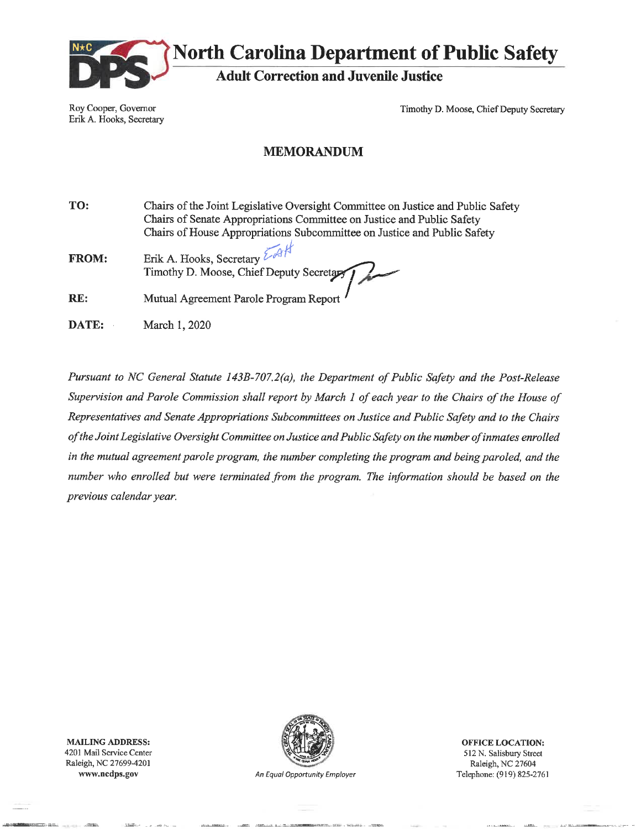

**North Carolina Department of Public Safety** 

**Adult Correction and Juvenile Justice** 

Roy Cooper, Governor Erik A. Hooks, Secretary Timothy D. Moose, Chief Deputy Secretary

### **MEMORANDUM**

TO: Chairs of the Joint Legislative Oversight Committee on Justice and Public Safety Chairs of Senate Appropriations Committee on Justice and Public Safety Chairs of House Appropriations Subcommittee on Justice and Public Safety

Erik A. Hooks, Secretary FROM: Timothy D. Moose, Chief Deputy Secretar

RE: Mutual Agreement Parole Program Report

DATE: March 1, 2020

Pursuant to NC General Statute 143B-707.2(a), the Department of Public Safety and the Post-Release Supervision and Parole Commission shall report by March 1 of each year to the Chairs of the House of Representatives and Senate Appropriations Subcommittees on Justice and Public Safety and to the Chairs of the Joint Legislative Oversight Committee on Justice and Public Safety on the number of inmates enrolled in the mutual agreement parole program, the number completing the program and being paroled, and the number who enrolled but were terminated from the program. The information should be based on the previous calendar year.

**MAILING ADDRESS:** 4201 Mail Service Center Raleigh, NC 27699-4201 www.nedps.gov



An Equal Opportunity Employer

**OFFICE LOCATION:** 512 N. Salisbury Street Raleigh, NC 27604 Telephone: (919) 825-2761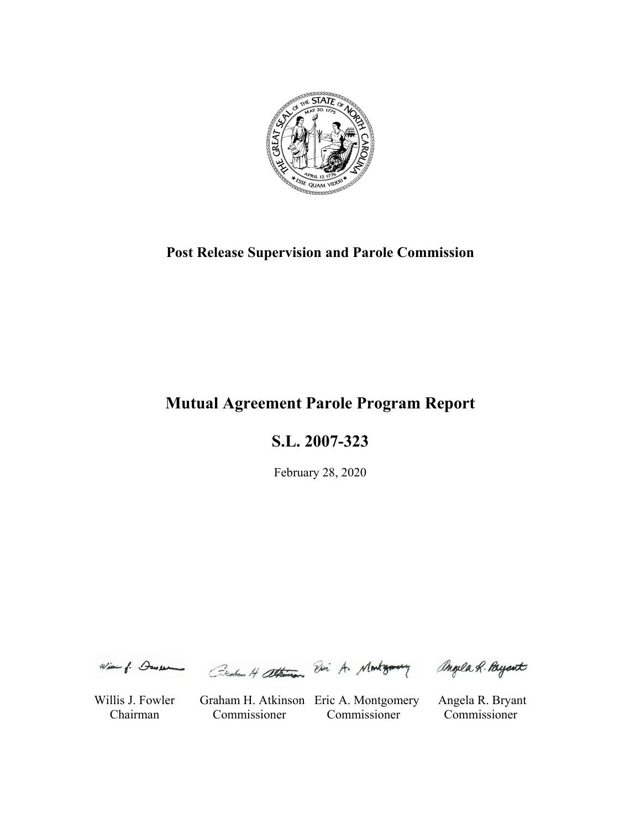

# **Post Release Supervision and Parole Commission**

# **Mutual Agreement Parole Program Report**

**S.L. 2007-323** 

February 28, 2020

Wie of Deveren Createn H attention Visi A. Montgomery

angela R. Payant

Willis J. Fowler Graham H. Atkinson Eric A. Montgomery Angela R. Bryant Chairman Commissioner Commissioner Commissioner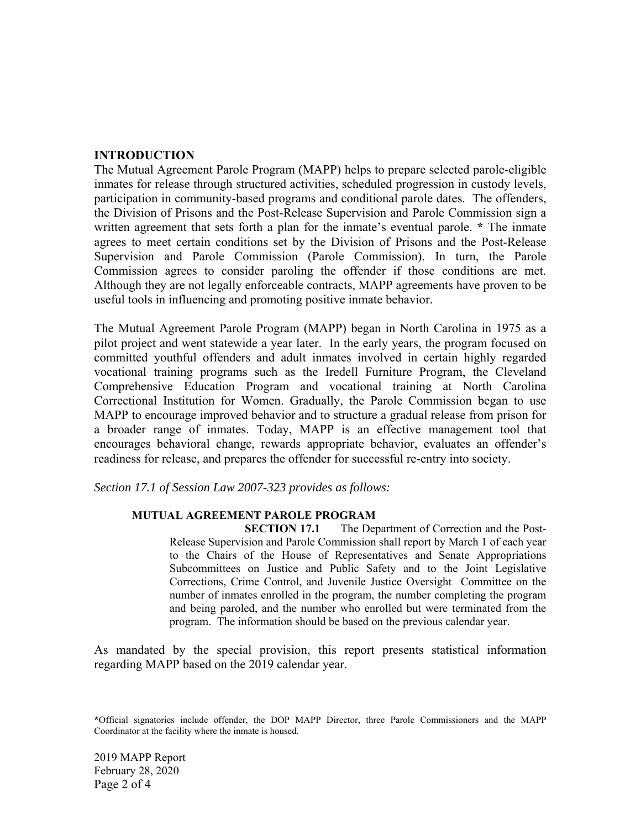#### **INTRODUCTION**

The Mutual Agreement Parole Program (MAPP) helps to prepare selected parole-eligible inmates for release through structured activities, scheduled progression in custody levels, participation in community-based programs and conditional parole dates. The offenders, the Division of Prisons and the Post-Release Supervision and Parole Commission sign a written agreement that sets forth a plan for the inmate's eventual parole. **\*** The inmate agrees to meet certain conditions set by the Division of Prisons and the Post-Release Supervision and Parole Commission (Parole Commission). In turn, the Parole Commission agrees to consider paroling the offender if those conditions are met. Although they are not legally enforceable contracts, MAPP agreements have proven to be useful tools in influencing and promoting positive inmate behavior.

The Mutual Agreement Parole Program (MAPP) began in North Carolina in 1975 as a pilot project and went statewide a year later. In the early years, the program focused on committed youthful offenders and adult inmates involved in certain highly regarded vocational training programs such as the Iredell Furniture Program, the Cleveland Comprehensive Education Program and vocational training at North Carolina Correctional Institution for Women. Gradually, the Parole Commission began to use MAPP to encourage improved behavior and to structure a gradual release from prison for a broader range of inmates. Today, MAPP is an effective management tool that encourages behavioral change, rewards appropriate behavior, evaluates an offender's readiness for release, and prepares the offender for successful re-entry into society.

*Section 17.1 of Session Law 2007-323 provides as follows:* 

#### **MUTUAL AGREEMENT PAROLE PROGRAM**

**SECTION 17.1** The Department of Correction and the Post-Release Supervision and Parole Commission shall report by March 1 of each year to the Chairs of the House of Representatives and Senate Appropriations Subcommittees on Justice and Public Safety and to the Joint Legislative Corrections, Crime Control, and Juvenile Justice Oversight Committee on the number of inmates enrolled in the program, the number completing the program and being paroled, and the number who enrolled but were terminated from the program. The information should be based on the previous calendar year.

As mandated by the special provision, this report presents statistical information regarding MAPP based on the 2019 calendar year.

**<sup>\*</sup>**Official signatories include offender, the DOP MAPP Director, three Parole Commissioners and the MAPP Coordinator at the facility where the inmate is housed.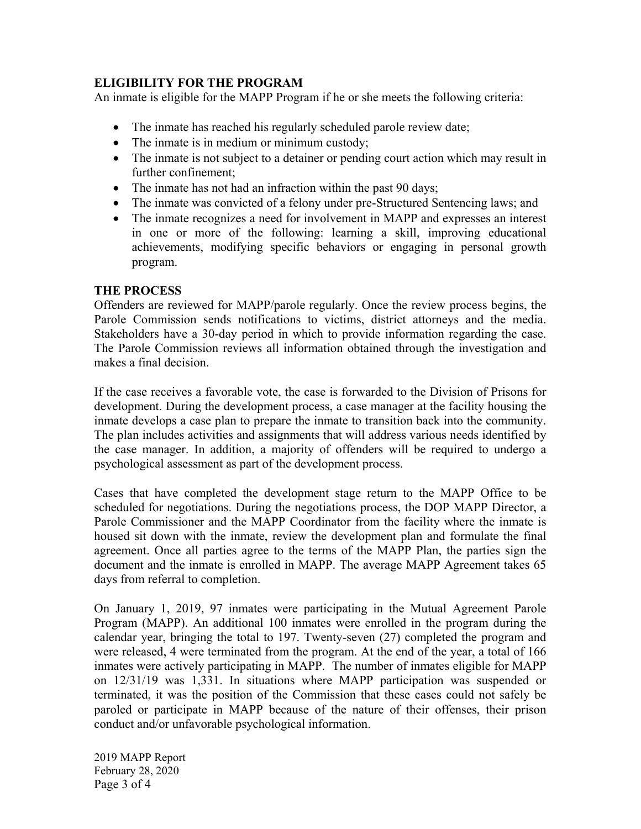# **ELIGIBILITY FOR THE PROGRAM**

An inmate is eligible for the MAPP Program if he or she meets the following criteria:

- The inmate has reached his regularly scheduled parole review date;
- The inmate is in medium or minimum custody;
- The inmate is not subject to a detainer or pending court action which may result in further confinement;
- The inmate has not had an infraction within the past 90 days;
- The inmate was convicted of a felony under pre-Structured Sentencing laws; and
- The inmate recognizes a need for involvement in MAPP and expresses an interest in one or more of the following: learning a skill, improving educational achievements, modifying specific behaviors or engaging in personal growth program.

# **THE PROCESS**

Offenders are reviewed for MAPP/parole regularly. Once the review process begins, the Parole Commission sends notifications to victims, district attorneys and the media. Stakeholders have a 30-day period in which to provide information regarding the case. The Parole Commission reviews all information obtained through the investigation and makes a final decision.

If the case receives a favorable vote, the case is forwarded to the Division of Prisons for development. During the development process, a case manager at the facility housing the inmate develops a case plan to prepare the inmate to transition back into the community. The plan includes activities and assignments that will address various needs identified by the case manager. In addition, a majority of offenders will be required to undergo a psychological assessment as part of the development process.

Cases that have completed the development stage return to the MAPP Office to be scheduled for negotiations. During the negotiations process, the DOP MAPP Director, a Parole Commissioner and the MAPP Coordinator from the facility where the inmate is housed sit down with the inmate, review the development plan and formulate the final agreement. Once all parties agree to the terms of the MAPP Plan, the parties sign the document and the inmate is enrolled in MAPP. The average MAPP Agreement takes 65 days from referral to completion.

On January 1, 2019, 97 inmates were participating in the Mutual Agreement Parole Program (MAPP). An additional 100 inmates were enrolled in the program during the calendar year, bringing the total to 197. Twenty-seven (27) completed the program and were released, 4 were terminated from the program. At the end of the year, a total of 166 inmates were actively participating in MAPP. The number of inmates eligible for MAPP on 12/31/19 was 1,331. In situations where MAPP participation was suspended or terminated, it was the position of the Commission that these cases could not safely be paroled or participate in MAPP because of the nature of their offenses, their prison conduct and/or unfavorable psychological information.

2019 MAPP Report February 28, 2020 Page 3 of 4